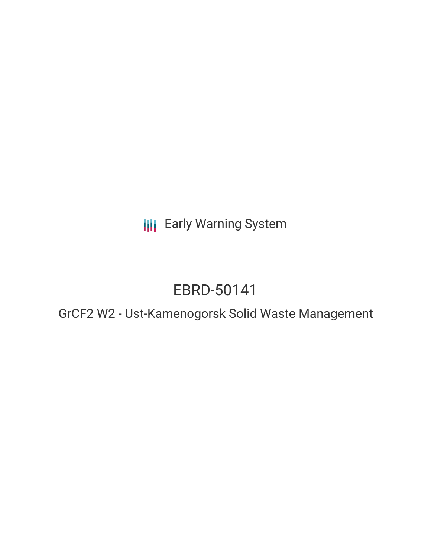**III** Early Warning System

# EBRD-50141

GrCF2 W2 - Ust-Kamenogorsk Solid Waste Management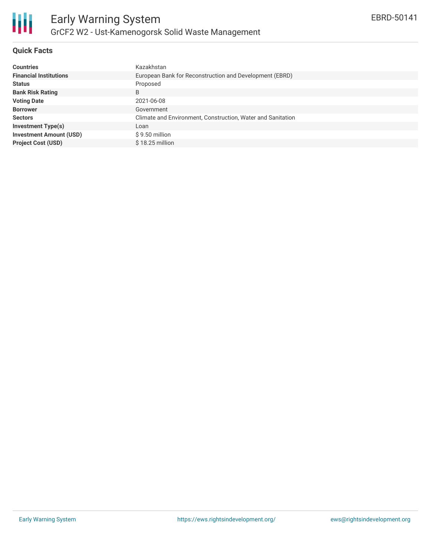

# **Quick Facts**

| <b>Countries</b>               | Kazakhstan                                                  |
|--------------------------------|-------------------------------------------------------------|
| <b>Financial Institutions</b>  | European Bank for Reconstruction and Development (EBRD)     |
| <b>Status</b>                  | Proposed                                                    |
| <b>Bank Risk Rating</b>        | B                                                           |
| <b>Voting Date</b>             | 2021-06-08                                                  |
| <b>Borrower</b>                | Government                                                  |
| <b>Sectors</b>                 | Climate and Environment, Construction, Water and Sanitation |
| <b>Investment Type(s)</b>      | Loan                                                        |
| <b>Investment Amount (USD)</b> | \$9.50 million                                              |
| <b>Project Cost (USD)</b>      | $$18.25$ million                                            |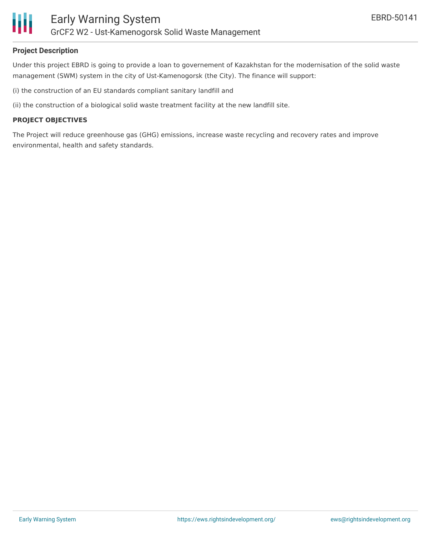

# **Project Description**

Under this project EBRD is going to provide a loan to governement of Kazakhstan for the modernisation of the solid waste management (SWM) system in the city of Ust-Kamenogorsk (the City). The finance will support:

(i) the construction of an EU standards compliant sanitary landfill and

(ii) the construction of a biological solid waste treatment facility at the new landfill site.

### **PROJECT OBJECTIVES**

The Project will reduce greenhouse gas (GHG) emissions, increase waste recycling and recovery rates and improve environmental, health and safety standards.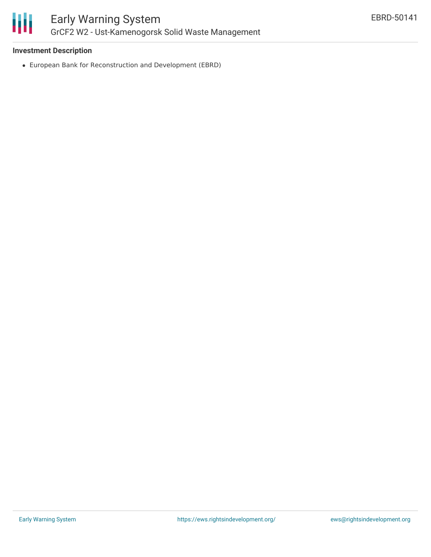

# **Investment Description**

European Bank for Reconstruction and Development (EBRD)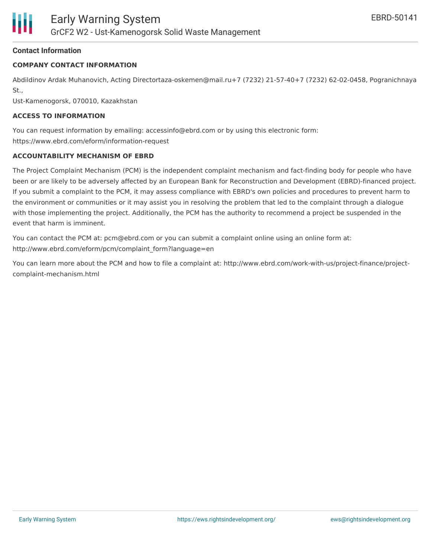# **Contact Information**

# **COMPANY CONTACT INFORMATION**

Abdildinov Ardak Muhanovich, Acting Directortaza-oskemen@mail.ru+7 (7232) 21-57-40+7 (7232) 62-02-0458, Pogranichnaya St.,

Ust-Kamenogorsk, 070010, Kazakhstan

## **ACCESS TO INFORMATION**

You can request information by emailing: accessinfo@ebrd.com or by using this electronic form: https://www.ebrd.com/eform/information-request

### **ACCOUNTABILITY MECHANISM OF EBRD**

The Project Complaint Mechanism (PCM) is the independent complaint mechanism and fact-finding body for people who have been or are likely to be adversely affected by an European Bank for Reconstruction and Development (EBRD)-financed project. If you submit a complaint to the PCM, it may assess compliance with EBRD's own policies and procedures to prevent harm to the environment or communities or it may assist you in resolving the problem that led to the complaint through a dialogue with those implementing the project. Additionally, the PCM has the authority to recommend a project be suspended in the event that harm is imminent.

You can contact the PCM at: pcm@ebrd.com or you can submit a complaint online using an online form at: http://www.ebrd.com/eform/pcm/complaint\_form?language=en

You can learn more about the PCM and how to file a complaint at: http://www.ebrd.com/work-with-us/project-finance/projectcomplaint-mechanism.html